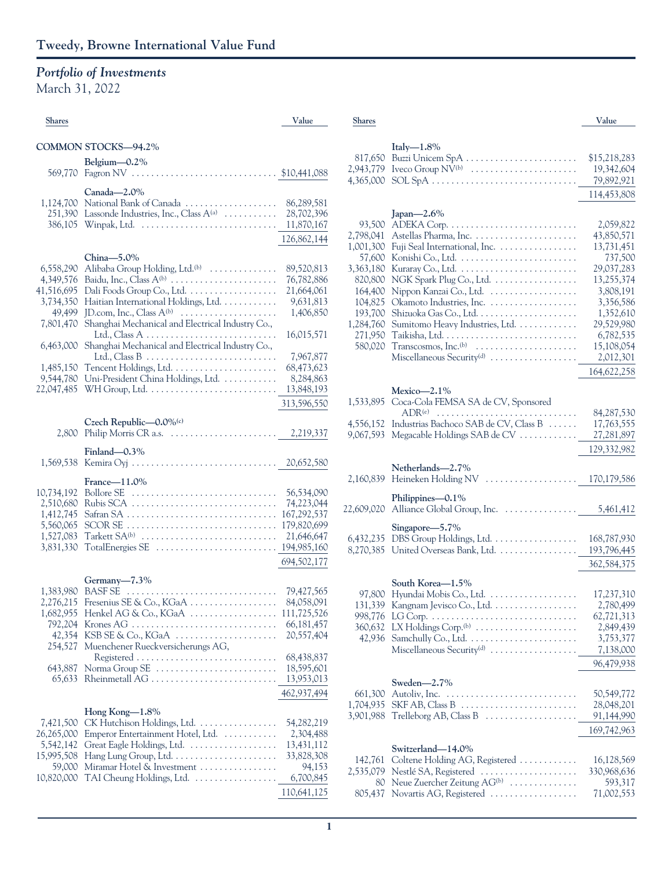## *Portfolio of Investments*

March 31, 2022

| <b>Shares</b>          |                                                                                                                                      | Value                      |
|------------------------|--------------------------------------------------------------------------------------------------------------------------------------|----------------------------|
|                        | COMMON STOCKS-94.2%                                                                                                                  |                            |
|                        | Belgium-0.2%                                                                                                                         |                            |
| 569,770                |                                                                                                                                      |                            |
|                        | Canada-2.0%                                                                                                                          |                            |
| 1,124,700              | National Bank of Canada                                                                                                              | 86,289,581                 |
| 251,390                | Lassonde Industries, Inc., Class $A^{(a)}$                                                                                           | 28,702,396                 |
| 386,105                |                                                                                                                                      | 11,870,167                 |
|                        |                                                                                                                                      | 126,862,144                |
|                        | China-5.0%                                                                                                                           |                            |
| 6,558,290<br>4,349,576 | Alibaba Group Holding, Ltd. <sup>(b)</sup><br>Baidu, Inc., Class A <sup>(b)</sup>                                                    | 89,520,813<br>76,782,886   |
| 41,516,695             | Dali Foods Group Co., Ltd.                                                                                                           | 21,664,061                 |
| 3,734,350              | Haitian International Holdings, Ltd.                                                                                                 | 9,631,813                  |
| 49,499                 | JD.com, Inc., Class $A^{(b)}$                                                                                                        | 1,406,850                  |
| 7,801,470              | Shanghai Mechanical and Electrical Industry Co.,                                                                                     | 16,015,571                 |
| 6,463,000              | Shanghai Mechanical and Electrical Industry Co.,                                                                                     |                            |
|                        |                                                                                                                                      | 7,967,877                  |
| 1,485,150<br>9,544,780 | Uni-President China Holdings, Ltd.                                                                                                   | 68,473,623<br>8,284,863    |
| 22,047,485             | $WH$ Group, Ltd. $\dots\dots\dots\dots\dots\dots\dots\dots\dots\dots$                                                                | 13,848,193                 |
|                        |                                                                                                                                      | 313,596,550                |
|                        | Czech Republic-0.0%(c)                                                                                                               |                            |
| 2,800                  |                                                                                                                                      | 2,219,337                  |
|                        | Finland-0.3%                                                                                                                         |                            |
| 1,569,538              | Kemira Oyj $\dots \dots \dots \dots \dots \dots \dots \dots \dots$                                                                   | 20,652,580                 |
|                        | France-11.0%                                                                                                                         |                            |
| 10,734,192             | Bollore SE                                                                                                                           | 56,534,090                 |
| 2,510,680              | Rubis SCA                                                                                                                            | 74,223,044                 |
| 1,412,745              |                                                                                                                                      | 167,292,537                |
| 5,560,065<br>1,527,083 | SCOR SE<br>Tarkett $SA^{(b)}$                                                                                                        | 179,820,699<br>21,646,647  |
| 3,831,330              | TotalEnergies SE                                                                                                                     | 194,985,160                |
|                        |                                                                                                                                      | 694,502,177                |
|                        | Germany-7.3%                                                                                                                         |                            |
| 1,383,980              |                                                                                                                                      | 79,427,565                 |
|                        | $2,276,215$ Fresenius SE & Co., KGaA                                                                                                 | 84,058,091                 |
| 1,682,955              | Henkel AG & Co., $KGaA$ $\dots$ $\dots$ $\dots$<br>Krones AG $\ldots \ldots \ldots \ldots \ldots \ldots \ldots \ldots \ldots \ldots$ | 111,725,526                |
| 792,204<br>42,354      |                                                                                                                                      | 66, 181, 457<br>20,557,404 |
| 254,527                | Muenchener Rueckversicherungs AG,                                                                                                    |                            |
|                        |                                                                                                                                      | 68,438,837                 |
| 643,887<br>65,633      | Norma Group SE<br>Rheinmetall AG                                                                                                     | 18,595,601<br>13,953,013   |
|                        |                                                                                                                                      | 462,937,494                |
|                        |                                                                                                                                      |                            |
| 7,421,500              | Hong Kong $-1.8\%$<br>CK Hutchison Holdings, Ltd.                                                                                    | 54,282,219                 |
| 26,265,000             | Emperor Entertainment Hotel, Ltd.                                                                                                    | 2,304,488                  |
| 5,542,142              | Great Eagle Holdings, Ltd.                                                                                                           | 13,431,112                 |
| 15,995,508             |                                                                                                                                      | 33,828,308                 |
| 59,000<br>10,820,000   | Miramar Hotel & Investment<br>TAI Cheung Holdings, Ltd.                                                                              | 94,153<br>6,700,845        |
|                        |                                                                                                                                      | 110,641,125                |
|                        |                                                                                                                                      |                            |

| <b>Shares</b>        |                                                         | Value                     |
|----------------------|---------------------------------------------------------|---------------------------|
|                      |                                                         |                           |
|                      | Italy $-1.8\%$                                          |                           |
| 817,650              | Buzzi Unicem SpA                                        | \$15,218,283              |
| 2,943,779            |                                                         | 19,342,604                |
| 4,365,000            |                                                         | 79,892,921                |
|                      |                                                         | 114,453,808               |
|                      | Japan-2.6%                                              |                           |
| 93,500               |                                                         | 2,059,822                 |
| 2,798,041            |                                                         | 43,850,571                |
| 1,001,300            | Fuji Seal International, Inc.                           | 13,731,451                |
| 57,600               |                                                         | 737,500                   |
| 3,363,180            |                                                         | 29,037,283                |
| 820,800              | NGK Spark Plug Co., Ltd.                                | 13,255,374                |
| 164,400              | Nippon Kanzai Co., Ltd.                                 | 3,808,191                 |
| 104,825              | Okamoto Industries, Inc.                                | 3,356,586                 |
| 193,700<br>1,284,760 |                                                         | 1,352,610<br>29,529,980   |
| 271,950              | Sumitomo Heavy Industries, Ltd.                         | 6,782,535                 |
| 580,020              |                                                         | 15,108,054                |
|                      | Miscellaneous Security <sup>(d)</sup>                   | 2,012,301                 |
|                      |                                                         | 164,622,258               |
|                      |                                                         |                           |
|                      | Mexico- $2.1\%$                                         |                           |
| 1,533,895            | Coca-Cola FEMSA SA de CV, Sponsored<br>$ADR^{(e)}$      | 84,287,530                |
| 4,556,152            | Industrias Bachoco SAB de CV, Class B                   | 17,763,555                |
| 9,067,593            | Megacable Holdings SAB de CV                            | 27,281,897                |
|                      |                                                         | 129,332,982               |
|                      |                                                         |                           |
|                      | Netherlands-2.7%                                        |                           |
| 2,160,839            | Heineken Holding NV                                     | 170,179,586               |
|                      | Philippines-0.1%                                        |                           |
| 22,609,020           |                                                         |                           |
|                      | Singapore-5.7%                                          |                           |
| 6,432,235            | DBS Group Holdings, Ltd.                                | 168,787,930               |
| 8,270,385            | United Overseas Bank, Ltd.                              | 193,796,445               |
|                      |                                                         | 362,584,375               |
|                      |                                                         |                           |
| 97,800               | South Korea-1.5%<br>Hyundai Mobis Co., Ltd.             |                           |
| 131,339              | Kangnam Jevisco Co., Ltd.                               | 17,237,310<br>2,780,499   |
| 998,776              |                                                         | 62,721,313                |
| 360,632              |                                                         | 2,849,439                 |
| 42,936               |                                                         | 3,753,377                 |
|                      |                                                         | 7,138,000                 |
|                      |                                                         | 96,479,938                |
|                      | Sweden-2.7%                                             |                           |
| 661,300              |                                                         | 50,549,772                |
| 1,704,935            |                                                         | 28,048,201                |
| 3,901,988            | Trelleborg AB, Class $B$                                | 91,144,990                |
|                      |                                                         | 169,742,963               |
|                      |                                                         |                           |
|                      | Switzerland—14.0%                                       |                           |
| 142,761<br>2,535,079 | Coltene Holding AG, Registered<br>Nestlé SA, Registered | 16,128,569<br>330,968,636 |
| 80                   | Neue Zuercher Zeitung AG <sup>(b)</sup>                 | 593,317                   |
| 805,437              | Novartis AG, Registered                                 | 71,002,553                |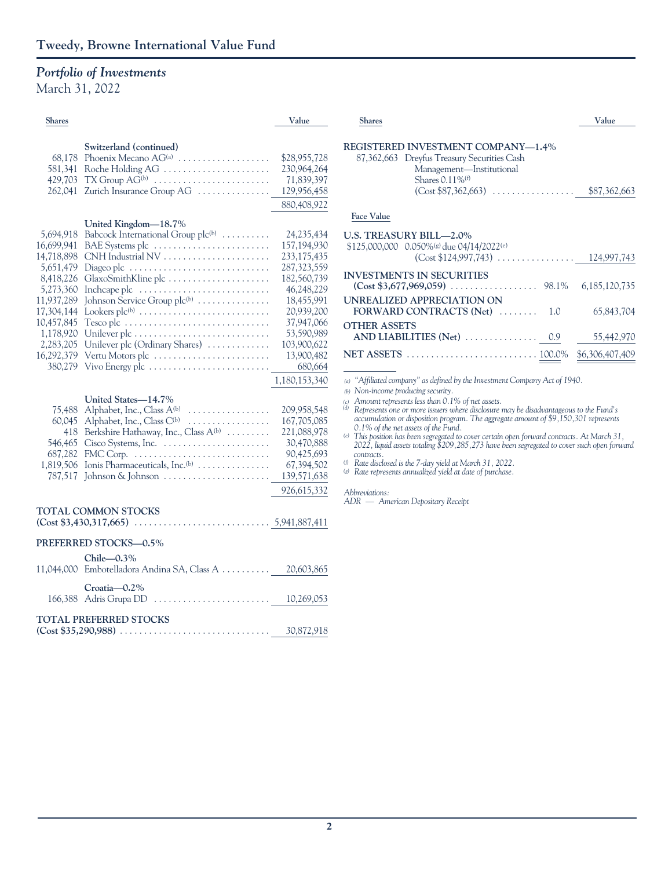## *Portfolio of Investments*

March 31, 2022

| <b>Shares</b>                                                                                                                                                             |                                                                                                                                                                                                                                                                                                                                                                                                 | Value                                                                                                                                                                                  |  |
|---------------------------------------------------------------------------------------------------------------------------------------------------------------------------|-------------------------------------------------------------------------------------------------------------------------------------------------------------------------------------------------------------------------------------------------------------------------------------------------------------------------------------------------------------------------------------------------|----------------------------------------------------------------------------------------------------------------------------------------------------------------------------------------|--|
| 68,178<br>581,341<br>429,703<br>262,041                                                                                                                                   | Switzerland (continued)<br>Phoenix Mecano AG <sup>(a)</sup><br>Roche Holding AG<br>$TX$ Group $AG^{(b)}$<br>Zurich Insurance Group AG                                                                                                                                                                                                                                                           | \$28,955,728<br>230,964,264<br>71,839,397<br>129,956,458<br>880,408,922                                                                                                                |  |
| 5,694,918<br>16,699,941<br>14,718,898<br>5,651,479<br>8,418,226<br>5,273,360<br>11,937,289<br>17,304,144<br>10,457,845<br>1,178,920<br>2,283,205<br>16,292,379<br>380,279 | United Kingdom-18.7%<br>Babcock International Group plc <sup>(b)</sup><br>BAE Systems plc<br>Diageo plc $\dots\dots\dots\dots\dots\dots\dots\dots\dots\dots\dots$<br>GlaxoSmithKline plc<br>Incheape plc<br>Johnson Service Group plc <sup>(b)</sup><br>Tesco plc<br>Unilever plc (Ordinary Shares)<br>Vertu Motors plc<br>Vivo Energy plc $\dots\dots\dots\dots\dots\dots\dots\dots\dots\dots$ | 24, 235, 434<br>157,194,930<br>233,175,435<br>287,323,559<br>182,560,739<br>46,248,229<br>18,455,991<br>20,939,200<br>37,947,066<br>53,590,989<br>103,900,622<br>13,900,482<br>680,664 |  |
| 75,488<br>60,045<br>418<br>546,465<br>687,282<br>1,819,506<br>787,517                                                                                                     | United States-14.7%<br>Alphabet, Inc., Class A(b)<br>.<br>Alphabet, Inc., Class C(b)<br>Berkshire Hathaway, Inc., Class A(b)<br>Ionis Pharmaceuticals, Inc. <sup>(b)</sup><br>Johnson $\&$ Johnson $\dots \dots \dots \dots \dots \dots$                                                                                                                                                        | 1,180,153,340<br>209,958,548<br>167,705,085<br>221,088,978<br>30,470,888<br>90,425,693<br>67,394,502<br>139,571,638<br>926,615,332                                                     |  |
|                                                                                                                                                                           | <b>TOTAL COMMON STOCKS</b>                                                                                                                                                                                                                                                                                                                                                                      |                                                                                                                                                                                        |  |
|                                                                                                                                                                           | PREFERRED STOCKS-0.5%                                                                                                                                                                                                                                                                                                                                                                           |                                                                                                                                                                                        |  |
| 11,044,000                                                                                                                                                                | Chile-0.3%<br>Embotelladora Andina SA, Class A                                                                                                                                                                                                                                                                                                                                                  | 20,603,865                                                                                                                                                                             |  |
| 166,388                                                                                                                                                                   | Croatia-0.2%<br>Adris Grupa DD                                                                                                                                                                                                                                                                                                                                                                  | 10,269,053                                                                                                                                                                             |  |

### **TOTAL PREFERRED STOCKS**

|  | 30,872,918 |
|--|------------|
|  |            |

| <b>Shares</b>                                                                                                                                                           | Value           |
|-------------------------------------------------------------------------------------------------------------------------------------------------------------------------|-----------------|
| REGISTERED INVESTMENT COMPANY-1.4%<br>87,362,663 Dreyfus Treasury Securities Cash<br>Management-Institutional<br>Shares $0.11\%$ <sup>(f)</sup><br>$(Cost $87,362,663)$ | \$87,362,663    |
| <b>Face Value</b>                                                                                                                                                       |                 |
| <b>U.S. TREASURY BILL—2.0%</b><br>$$125,000,000$ 0.050%(g) due 04/14/2022(e)<br>$(Cost $124,997,743)$ 124,997,743                                                       |                 |
| <b>INVESTMENTS IN SECURITIES</b>                                                                                                                                        | 6,185,120,735   |
| UNREALIZED APPRECIATION ON<br>FORWARD CONTRACTS $(Net)$<br>1.0                                                                                                          | 65,843,704      |
| <b>OTHER ASSETS</b>                                                                                                                                                     | 55,442,970      |
|                                                                                                                                                                         | \$6,306,407,409 |

*(a) "Affiliated company" as defined by the Investment Company Act of 1940.*

 $(b)$  *Non-income producing security.* 

*(c) Amount represents less than 0.1% of net assets. (d) Represents one or more issuers where disclosure may be disadvantageous to the Fund's accumulation or disposition program. The aggregate amount of \$9,150,301 represents 0.1% of the net assets of the Fund.*

*(e) This position has been segregated to cover certain open forward contracts. At March 31, 2022, liquid assets totaling \$209,285,273 have been segregated to cover such open forward contracts.*

*(f) Rate disclosed is the 7-day yield at March 31, 2022. (g) Rate represents annualized yield at date of purchase.*

### *Abbreviations:*

*ADR* — *American Depositary Receipt*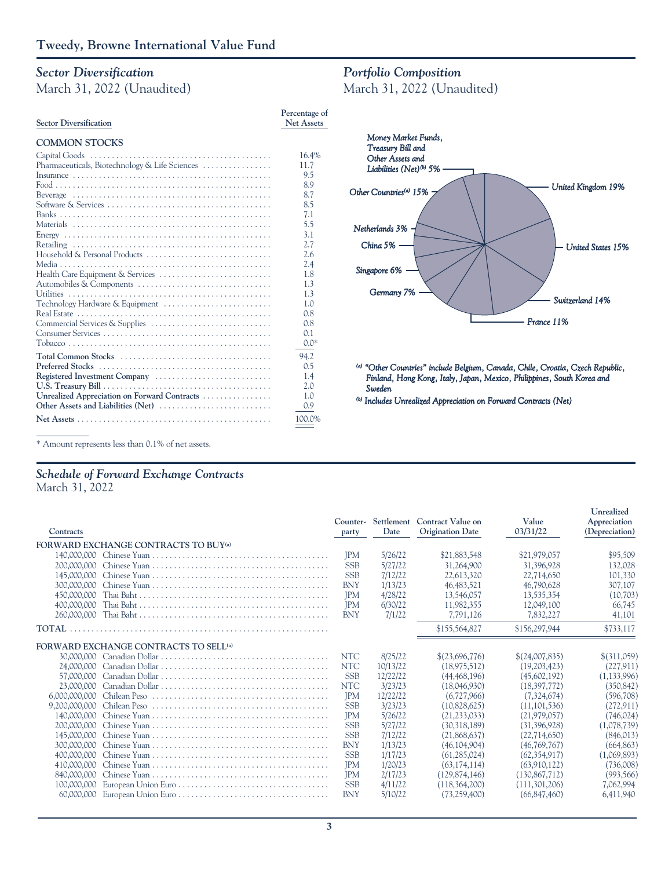# *Sector Diversification*

March 31, 2022 (Unaudited)

| <b>Sector Diversification</b>                  | Percentage of<br><b>Net Assets</b> |
|------------------------------------------------|------------------------------------|
| <b>COMMON STOCKS</b>                           |                                    |
|                                                | 16.4%                              |
| Pharmaceuticals, Biotechnology & Life Sciences | 11.7                               |
|                                                | 9.5                                |
|                                                | 8.9                                |
|                                                | 8.7                                |
|                                                | 8.5                                |
|                                                | 7.1                                |
|                                                | 5.5                                |
|                                                | 3.1                                |
|                                                | 2.7                                |
|                                                | 2.6                                |
|                                                | 2.4                                |
| Health Care Equipment & Services               | 1.8                                |
| Automobiles & Components                       | 1.3                                |
|                                                | 1.3                                |
| Technology Hardware & Equipment                | 1.0                                |
|                                                | 0.8                                |
|                                                | 0.8                                |
|                                                | 0.1                                |
|                                                | $0.0*$                             |
| Total Common Stocks                            | 94.2                               |
|                                                | 0.5                                |
| Registered Investment Company                  | 1.4                                |
|                                                | 2.0                                |
| Unrealized Appreciation on Forward Contracts   | 1.0                                |
| Other Assets and Liabilities (Net)             | 0.9                                |
|                                                | 100.0%                             |

## *Portfolio Composition*

March 31, 2022 (Unaudited)



*(a) "Other Co Other Countries" include Belgi de Belgium, Canada, Chile, Croatia, C m, Czech Rep ech Republic, Finland, Hong Kong, Italy, Japan, Mexico, Philippines, South Korea and Sweden*

**Unrealized**

*(b) Includes Unrealized Appreciation on Forward Contracts (Net)*

\* Amount represents less than 0.1% of net assets.

## *Schedule of Forward Exchange Contracts*

March 31, 2022

| Contracts     |                                                   | party      | Date     | Counter- Settlement Contract Value on<br><b>Origination Date</b> | Value<br>03/31/22 | Appreciation<br>(Depreciation) |
|---------------|---------------------------------------------------|------------|----------|------------------------------------------------------------------|-------------------|--------------------------------|
|               | <b>FORWARD EXCHANGE CONTRACTS TO BUY(a)</b>       |            |          |                                                                  |                   |                                |
| 140,000,000   |                                                   | <b>IPM</b> | 5/26/22  | \$21,883,548                                                     | \$21,979,057      | \$95,509                       |
| 200,000,000   |                                                   | <b>SSB</b> | 5/27/22  | 31,264,900                                                       | 31,396,928        | 132,028                        |
| 145,000,000   |                                                   | <b>SSB</b> | 7/12/22  | 22,613,320                                                       | 22,714,650        | 101,330                        |
| 300,000,000   |                                                   | <b>BNY</b> | 1/13/23  | 46,483,521                                                       | 46,790,628        | 307,107                        |
| 450,000,000   |                                                   | <b>IPM</b> | 4/28/22  | 13,546,057                                                       | 13,535,354        | (10,703)                       |
| 400,000,000   |                                                   | <b>IPM</b> | 6/30/22  | 11,982,355                                                       | 12,049,100        | 66,745                         |
| 260,000,000   |                                                   | <b>BNY</b> | 7/1/22   | 7,791,126                                                        | 7,832,227         | 41,101                         |
| <b>TOTAL</b>  |                                                   |            |          | \$155,564,827                                                    | \$156,297,944     | \$733,117                      |
|               | FORWARD EXCHANGE CONTRACTS TO SELL <sup>(a)</sup> |            |          |                                                                  |                   |                                |
|               |                                                   | <b>NTC</b> | 8/25/22  | \$(23,696,776)                                                   | \$(24,007,835)    | \$(311.059)                    |
| 24,000,000    |                                                   | <b>NTC</b> | 10/13/22 | (18,975,512)                                                     | (19,203,423)      | (227, 911)                     |
| 57.000.000    |                                                   | <b>SSB</b> | 12/22/22 | (44, 468, 196)                                                   | (45,602,192)      | (1,133,996)                    |
| 23,000,000    |                                                   | <b>NTC</b> | 3/23/23  | (18,046,930)                                                     | (18,397,772)      | (350, 842)                     |
| 6,000,000,000 | Chilean Peso                                      | <b>IPM</b> | 12/22/22 | (6,727,966)                                                      | (7,324,674)       | (596,708)                      |
| 9.200.000.000 | Chilean Peso                                      | <b>SSB</b> | 3/23/23  | (10.828.625)                                                     | (11.101.536)      | (272,911)                      |
| 140,000,000   |                                                   | <b>IPM</b> | 5/26/22  | (21, 233, 033)                                                   | (21,979,057)      | (746, 024)                     |
| 200,000,000   |                                                   | <b>SSB</b> | 5/27/22  | (30,318,189)                                                     | (31,396,928)      | (1,078,739)                    |
| 145,000,000   |                                                   | <b>SSB</b> | 7/12/22  | (21,868,637)                                                     | (22.714.650)      | (846,013)                      |
| 300,000,000   |                                                   | <b>BNY</b> | 1/13/23  | (46, 104, 904)                                                   | (46,769,767)      | (664, 863)                     |
| 400.000.000   |                                                   | <b>SSB</b> | 1/17/23  | (61, 285, 024)                                                   | (62.354.917)      | (1,069,893)                    |
| 410,000,000   |                                                   | <b>IPM</b> | 1/20/23  | (63, 174, 114)                                                   | (63,910,122)      | (736,008)                      |
| 840,000,000   |                                                   | <b>IPM</b> | 2/17/23  | (129.874.146)                                                    | (130,867,712)     | (993, 566)                     |
| 100,000,000   |                                                   | <b>SSB</b> | 4/11/22  | (118, 364, 200)                                                  | (111.301.206)     | 7,062,994                      |
|               |                                                   | <b>BNY</b> | 5/10/22  | (73,259,400)                                                     | (66,847,460)      | 6,411,940                      |